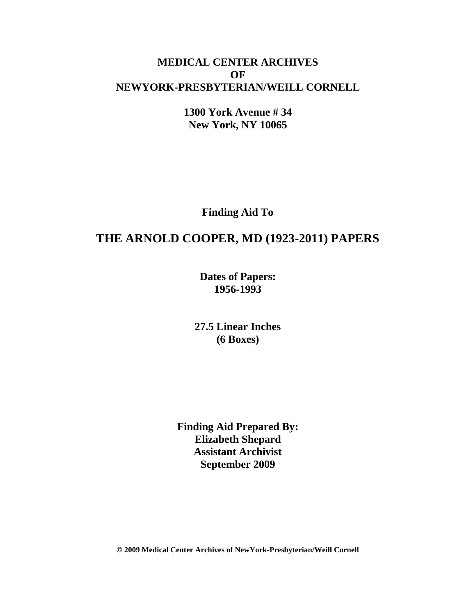# **MEDICAL CENTER ARCHIVES OF NEWYORK-PRESBYTERIAN/WEILL CORNELL**

**1300 York Avenue # 34 New York, NY 10065**

**Finding Aid To**

# **THE ARNOLD COOPER, MD (1923-2011) PAPERS**

**Dates of Papers: 1956-1993**

**27.5 Linear Inches (6 Boxes)**

**Finding Aid Prepared By: Elizabeth Shepard Assistant Archivist September 2009**

**© 2009 Medical Center Archives of NewYork-Presbyterian/Weill Cornell**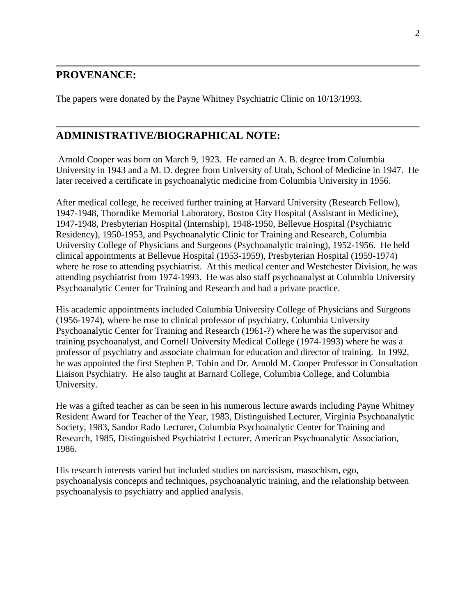## **PROVENANCE:**

The papers were donated by the Payne Whitney Psychiatric Clinic on 10/13/1993.

# **ADMINISTRATIVE/BIOGRAPHICAL NOTE:**

Arnold Cooper was born on March 9, 1923. He earned an A. B. degree from Columbia University in 1943 and a M. D. degree from University of Utah, School of Medicine in 1947. He later received a certificate in psychoanalytic medicine from Columbia University in 1956.

After medical college, he received further training at Harvard University (Research Fellow), 1947-1948, Thorndike Memorial Laboratory, Boston City Hospital (Assistant in Medicine), 1947-1948, Presbyterian Hospital (Internship), 1948-1950, Bellevue Hospital (Psychiatric Residency), 1950-1953, and Psychoanalytic Clinic for Training and Research, Columbia University College of Physicians and Surgeons (Psychoanalytic training), 1952-1956. He held clinical appointments at Bellevue Hospital (1953-1959), Presbyterian Hospital (1959-1974) where he rose to attending psychiatrist. At this medical center and Westchester Division, he was attending psychiatrist from 1974-1993. He was also staff psychoanalyst at Columbia University Psychoanalytic Center for Training and Research and had a private practice.

His academic appointments included Columbia University College of Physicians and Surgeons (1956-1974), where he rose to clinical professor of psychiatry, Columbia University Psychoanalytic Center for Training and Research (1961-?) where he was the supervisor and training psychoanalyst, and Cornell University Medical College (1974-1993) where he was a professor of psychiatry and associate chairman for education and director of training. In 1992, he was appointed the first Stephen P. Tobin and Dr. Arnold M. Cooper Professor in Consultation Liaison Psychiatry. He also taught at Barnard College, Columbia College, and Columbia University.

He was a gifted teacher as can be seen in his numerous lecture awards including Payne Whitney Resident Award for Teacher of the Year, 1983, Distinguished Lecturer, Virginia Psychoanalytic Society, 1983, Sandor Rado Lecturer, Columbia Psychoanalytic Center for Training and Research, 1985, Distinguished Psychiatrist Lecturer, American Psychoanalytic Association, 1986.

His research interests varied but included studies on narcissism, masochism, ego, psychoanalysis concepts and techniques, psychoanalytic training, and the relationship between psychoanalysis to psychiatry and applied analysis.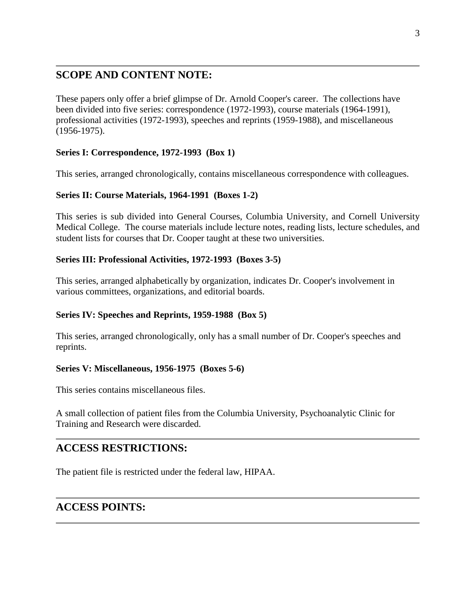# **SCOPE AND CONTENT NOTE:**

These papers only offer a brief glimpse of Dr. Arnold Cooper's career. The collections have been divided into five series: correspondence (1972-1993), course materials (1964-1991), professional activities (1972-1993), speeches and reprints (1959-1988), and miscellaneous (1956-1975).

### **Series I: Correspondence, 1972-1993 (Box 1)**

This series, arranged chronologically, contains miscellaneous correspondence with colleagues.

### **Series II: Course Materials, 1964-1991 (Boxes 1-2)**

This series is sub divided into General Courses, Columbia University, and Cornell University Medical College. The course materials include lecture notes, reading lists, lecture schedules, and student lists for courses that Dr. Cooper taught at these two universities.

#### **Series III: Professional Activities, 1972-1993 (Boxes 3-5)**

This series, arranged alphabetically by organization, indicates Dr. Cooper's involvement in various committees, organizations, and editorial boards.

#### **Series IV: Speeches and Reprints, 1959-1988 (Box 5)**

This series, arranged chronologically, only has a small number of Dr. Cooper's speeches and reprints.

### **Series V: Miscellaneous, 1956-1975 (Boxes 5-6)**

This series contains miscellaneous files.

A small collection of patient files from the Columbia University, Psychoanalytic Clinic for Training and Research were discarded.

## **ACCESS RESTRICTIONS:**

The patient file is restricted under the federal law, HIPAA.

# **ACCESS POINTS:**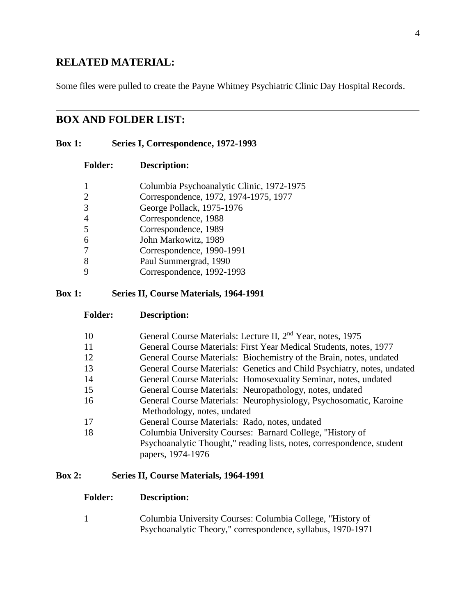## **RELATED MATERIAL:**

Some files were pulled to create the Payne Whitney Psychiatric Clinic Day Hospital Records.

## **BOX AND FOLDER LIST:**

#### **Box 1: Series I, Correspondence, 1972-1993**

| <b>Folder:</b> | Description: |
|----------------|--------------|
|                |              |

|   | Columbia Psychoanalytic Clinic, 1972-1975 |
|---|-------------------------------------------|
|   | Correspondence, 1972, 1974-1975, 1977     |
| 3 | George Pollack, 1975-1976                 |
|   | Correspondence, 1988                      |
| 5 | Correspondence, 1989                      |
| 6 | John Markowitz, 1989                      |
|   | Correspondence, 1990-1991                 |
| 8 | Paul Summergrad, 1990                     |
|   | Correspondence, 1992-1993                 |
|   |                                           |

#### **Box 1: Series II, Course Materials, 1964-1991**

- **Folder: Description:**
- 10 General Course Materials: Lecture II, 2<sup>nd</sup> Year, notes, 1975
- 11 General Course Materials: First Year Medical Students, notes, 1977
- 12 General Course Materials: Biochemistry of the Brain, notes, undated
- 13 General Course Materials: Genetics and Child Psychiatry, notes, undated
- 14 General Course Materials: Homosexuality Seminar, notes, undated
- 15 General Course Materials: Neuropathology, notes, undated
- 16 General Course Materials: Neurophysiology, Psychosomatic, Karoine Methodology, notes, undated
- 17 General Course Materials: Rado, notes, undated
- 18 Columbia University Courses: Barnard College, "History of Psychoanalytic Thought," reading lists, notes, correspondence, student papers, 1974-1976

### **Box 2: Series II, Course Materials, 1964-1991**

#### **Folder: Description:**

1 Columbia University Courses: Columbia College, "History of Psychoanalytic Theory," correspondence, syllabus, 1970-1971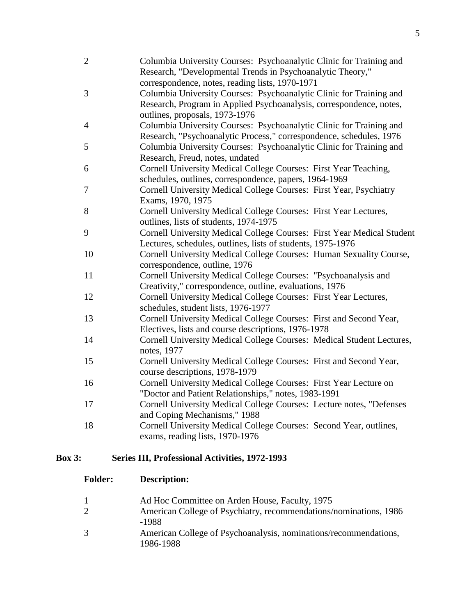| $\mathbf{2}$ | Columbia University Courses: Psychoanalytic Clinic for Training and<br>Research, "Developmental Trends in Psychoanalytic Theory," |
|--------------|-----------------------------------------------------------------------------------------------------------------------------------|
|              | correspondence, notes, reading lists, 1970-1971                                                                                   |
| 3            | Columbia University Courses: Psychoanalytic Clinic for Training and                                                               |
|              | Research, Program in Applied Psychoanalysis, correspondence, notes,                                                               |
|              | outlines, proposals, 1973-1976                                                                                                    |
| 4            | Columbia University Courses: Psychoanalytic Clinic for Training and                                                               |
|              | Research, "Psychoanalytic Process," correspondence, schedules, 1976                                                               |
| 5            | Columbia University Courses: Psychoanalytic Clinic for Training and                                                               |
|              | Research, Freud, notes, undated                                                                                                   |
| 6            | Cornell University Medical College Courses: First Year Teaching,                                                                  |
|              | schedules, outlines, correspondence, papers, 1964-1969                                                                            |
| 7            | Cornell University Medical College Courses: First Year, Psychiatry                                                                |
|              | Exams, 1970, 1975                                                                                                                 |
| 8            | Cornell University Medical College Courses: First Year Lectures,                                                                  |
|              | outlines, lists of students, 1974-1975                                                                                            |
| 9            | Cornell University Medical College Courses: First Year Medical Student                                                            |
|              | Lectures, schedules, outlines, lists of students, 1975-1976                                                                       |
| 10           | Cornell University Medical College Courses: Human Sexuality Course,                                                               |
|              | correspondence, outline, 1976                                                                                                     |
| 11           | Cornell University Medical College Courses: "Psychoanalysis and                                                                   |
|              | Creativity," correspondence, outline, evaluations, 1976                                                                           |
| 12           | Cornell University Medical College Courses: First Year Lectures,                                                                  |
|              | schedules, student lists, 1976-1977                                                                                               |
| 13           | Cornell University Medical College Courses: First and Second Year,                                                                |
|              | Electives, lists and course descriptions, 1976-1978                                                                               |
| 14           | Cornell University Medical College Courses: Medical Student Lectures,                                                             |
|              | notes, 1977                                                                                                                       |
| 15           | Cornell University Medical College Courses: First and Second Year,                                                                |
|              | course descriptions, 1978-1979                                                                                                    |
| 16           | Cornell University Medical College Courses: First Year Lecture on                                                                 |
|              | "Doctor and Patient Relationships," notes, 1983-1991                                                                              |
| 17           | Cornell University Medical College Courses: Lecture notes, "Defenses                                                              |
|              | and Coping Mechanisms," 1988                                                                                                      |
| 18           | Cornell University Medical College Courses: Second Year, outlines,                                                                |
|              | exams, reading lists, 1970-1976                                                                                                   |
|              |                                                                                                                                   |

# **Box 3: Series III, Professional Activities, 1972-1993**

| <b>Folder:</b>      | <b>Description:</b>                                                                                                 |
|---------------------|---------------------------------------------------------------------------------------------------------------------|
| $\overline{1}$<br>2 | Ad Hoc Committee on Arden House, Faculty, 1975<br>American College of Psychiatry, recommendations/nominations, 1986 |
| 3                   | -1988<br>American College of Psychoanalysis, nominations/recommendations,<br>1986-1988                              |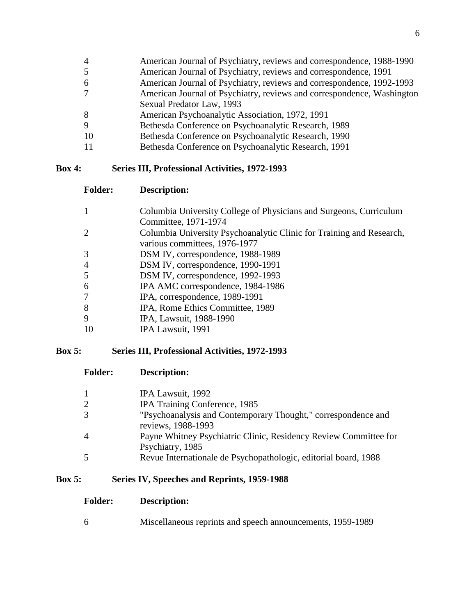- American Journal of Psychiatry, reviews and correspondence, 1988-1990
- American Journal of Psychiatry, reviews and correspondence, 1991
- American Journal of Psychiatry, reviews and correspondence, 1992-1993 American Journal of Psychiatry, reviews and correspondence, Washington
- Sexual Predator Law, 1993
- American Psychoanalytic Association, 1972, 1991
- Bethesda Conference on Psychoanalytic Research, 1989
- Bethesda Conference on Psychoanalytic Research, 1990
- Bethesda Conference on Psychoanalytic Research, 1991

## **Box 4: Series III, Professional Activities, 1972-1993**

**Folder: Description:**

| 1              | Columbia University College of Physicians and Surgeons, Curriculum   |
|----------------|----------------------------------------------------------------------|
|                | Committee, 1971-1974                                                 |
| $\overline{2}$ | Columbia University Psychoanalytic Clinic for Training and Research, |
|                | various committees, 1976-1977                                        |
| 3              | DSM IV, correspondence, 1988-1989                                    |
| 4              | DSM IV, correspondence, 1990-1991                                    |
| 5              | DSM IV, correspondence, 1992-1993                                    |
| 6              | IPA AMC correspondence, 1984-1986                                    |
| 7              | IPA, correspondence, 1989-1991                                       |
| 8              | IPA, Rome Ethics Committee, 1989                                     |
| 9              | IPA, Lawsuit, 1988-1990                                              |
| 10             | IPA Lawsuit, 1991                                                    |

## **Box 5: Series III, Professional Activities, 1972-1993**

**Folder: Description:**

| 1 | IPA Lawsuit, 1992                                                                   |
|---|-------------------------------------------------------------------------------------|
| 2 | IPA Training Conference, 1985                                                       |
| 3 | "Psychoanalysis and Contemporary Thought," correspondence and<br>reviews, 1988-1993 |
| 4 | Payne Whitney Psychiatric Clinic, Residency Review Committee for                    |
|   | Psychiatry, 1985                                                                    |
| 5 | Revue Internationale de Psychopathologic, editorial board, 1988                     |

## **Box 5: Series IV, Speeches and Reprints, 1959-1988**

Miscellaneous reprints and speech announcements, 1959-1989